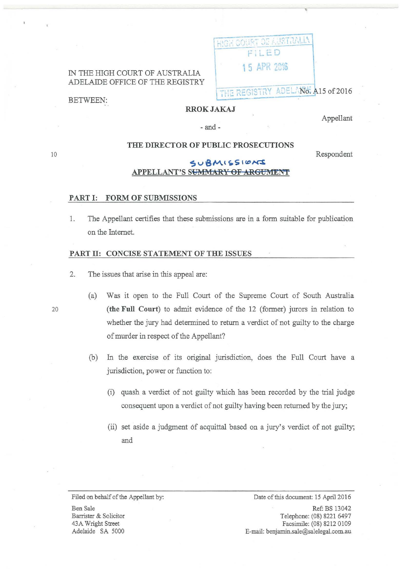IN THE HIGH COURT OF AUSTRALIA ADELAIDE OFFICE OF THE REGISTRY HIGH COURT OF AURTRALIA F; i...ED 15 APR 2016

THE REGISTRY ADELANG. A15 of 2016

BETWEEN:

# RROKJAKAJ

Appellant

-and-

### THE DIRECTOR OF PUBLIC PROSECUTIONS

Respondent

# $SUBMISSIONS$ APPELLANT'S SUMMARY OF ARGUMENT

#### PART I: FORM OF SUBMISSIONS

1. The Appellant certifies that these submissions are in a form suitable for publication on the Internet.

#### PART II: CONCISE STATEMENT OF THE ISSUES

- 2. The issues that arise in this appeal are:
- (a) Was it open to the Full Court of the Supreme Court of South Australia 20 (the Full Court) to admit evidence of the 12 (former) jurors in relation to whether the jury had determined to return a verdict of not guilty to the charge of murder in respect of the Appellant?
	- (b) In the exercise of its original jurisdiction, does the Full Court have a jurisdiction, power or function to:
		- (i) quash a verdict of not guilty which has been recorded by the trial judge consequent upon a verdict of not guilty having been returned by the jury;
		- (ii) set aside a judgment of acquittal based on a jury's verdict of not guilty; and

Filed on behalf of the Appellant by:

Ben Sale Barrister & Solicitor 43A Wright Street Adelaide SA 5000

Date of this document: 15 April 2016

Ref: BS 13042 Telephone: (08) 8221 6497 Facsimile: (08) 8212 0109 E-mail: benjamin.sale@salelegal.com.au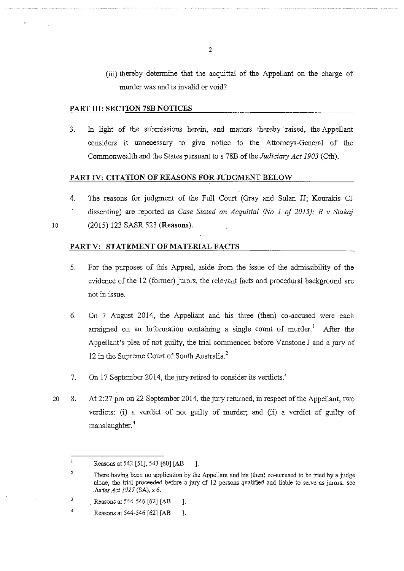(iii) thereby determine that the acquittal of the Appellant on the charge of murder was and is invalid or void?

### **PART Ill: SECTION 78B NOTICES**

3. In light of the submissions herein, and matters thereby raised, the Appellant considers it unnecessary to give notice to the Attorneys-General of the Commonwealth and the States pursuant to s 78B of the *Judiciary Act 1903* (Cth).

### **PART IV: CITATION OF REASONS FOR JUDGMENT BELOW**

4. The reasons for judgment of the Full Court (Gray and Sulan JJ; Kourakis CJ dissenting) are reported as *Case Stated on Acquittal (No 1 of 2015); R v Stakaj*  (2015) 123 SASR 523 **(Reasons).** 

10

### **PART V: STATEMENT OF MATERIAL FACTS**

- 5. For the purposes of this Appeal, aside from the issue of the admissibility of the evidence of the 12 (former) jurors, the relevant facts and procedural background are not in issue.
- 6. On 7 August 2014, the Appellant and his three (then) co-accused were each arraigned on an Information containing a single count of murder.<sup>1</sup> After the Appellant's plea of not guilty, the trial commenced before Vanstone J and a jury of 12 in the Supreme Court of South Australia.<sup>2</sup>
- 7. On 17 September 2014, the jury retired to consider its verdicts.<sup>3</sup>
- 20 8. At 2:27 pm on 22 September 2014, the jury returned, in respect of the Appellant, two verdicts: (i) a verdict of not guilty of murder; and (ii) a verdict of guilty of manslaughter. 4

 $\mathbf{1}$ Reasons at 542 [51], 543 [60] [AB ].

<sup>2</sup>  There having been no application by the Appellant and his (then) co-accused to be tried by a judge alone, the trial proceeded before a jury of 12 persons qualified and liable to serve as jurors: see *Juries Act 1927* (SA), s 6.

<sup>3</sup>  Reasons at 544-546 [62] [AB ].

<sup>4</sup>  Reasons at 544-546 [62] [AB ].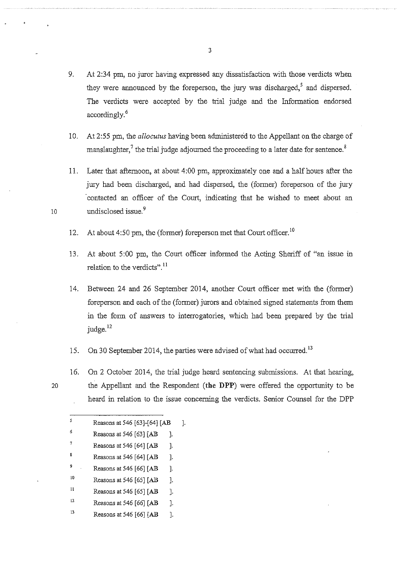- 9. At  $2:34$  pm, no juror having expressed any dissatisfaction with those verdicts when they were announced by the foreperson, the jury was discharged,<sup>5</sup> and dispersed. The verdicts were accepted by the trial judge and the Information endorsed accordingly. <sup>6</sup>
- 10. At 2:55 pm, the *allocutus* having been administered to the Appellant on the charge of manslaughter,<sup>7</sup> the trial judge adjourned the proceeding to a later date for sentence.<sup>8</sup>

11. Later that afternoon, at about 4:00 pm, approximately one and a half hours after the jury had been discharged, and had dispersed, the (former) foreperson of the jury contacted an officer of the Court, indicating that he wished to meet about an 10 undisclosed issue.<sup>9</sup>

- 12. At about  $4:50$  pm, the (former) foreperson met that Court officer.<sup>10</sup>
- 13. At about 5:00 pm, the Court officer informed the Acting Sheriff of "an issue in relation to the verdicts".<sup>11</sup>
- 14. Between 24 and 26 September 2014, another Court officer met with the (former) foreperson and each of the (former) jurors and obtained signed statements from them in the form of answers to interrogatories, which had been prepared by the trial judge.<sup>12</sup>
- 15. On 30 September 2014, the parties were advised of what had occurred.<sup>13</sup>
- 16. On 2 October 2014, the trial judge heard sentencing submissions. At that hearing, 20 the Appellant and the Respondent **(the DPP)** were offered the opportunity to be heard in relation to the issue concerning the verdicts. Senior Counsel for the DPP

| 5  | Reasons at 546 [63]-[64] [AB     | ı. |
|----|----------------------------------|----|
| 6  | Reasons at 546 [63] [AB<br>1.    |    |
| 7  | Reasons at 546 [64] $[AB]$<br>1. |    |
| 8  | Reasons at 546 [64] [AB<br>1.    |    |
| 9  | Reasons at 546 [66] [AB<br>1.    |    |
| 10 | Reasons at 546 [65] [AB<br>1.    |    |
| 11 | Reasons at 546 [65] [AB<br>J.    |    |
| 12 | Reasons at 546 [66] [AB<br>1.    |    |
| 13 | Reasons at 546 [66] [AB<br>1.    |    |
|    |                                  |    |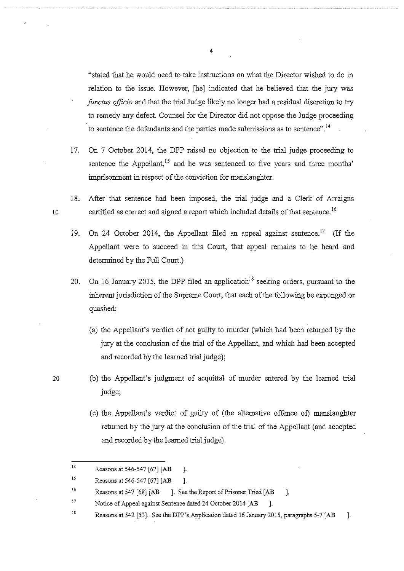"stated that he would need to take instructions on what the Director wished to do in relation to the issue. However, [he] indicated that he believed that the jury was *functus officio* and that the trial Judge likely no longer had a residual discretion to try to remedy any defect. Counsel for the Director did not oppose the Judge proceeding to sentence the defendants and the parties made submissions as to sentence".<sup>14</sup>

- 17. On 7 October 2014, the DPP raised no objection to the trial judge proceeding to sentence the Appellant,  $15$  and he was sentenced to five years and three months' imprisonment in respect of the conviction for manslaughter.
- 18. After that sentence had been imposed, the trial judge and a Clerk of Arraigns 10 certified as correct and signed a report which included details of that sentence.<sup>16</sup>
	- 19. On 24 October 2014, the Appellant filed an appeal against sentence.<sup>17</sup> (If the Appellant were to succeed in this Court, that appeal remains to be heard and determined by the Full Court.)
	- 20. On 16 January 2015, the DPP filed an application<sup>18</sup> seeking orders, pursuant to the inherent jurisdiction of the Supreme Court, that each of the following be expunged or quashed:
		- (a) the Appellant's verdict of not guilty to murder (which had been returned by the jury at the conclusion of the trial of the Appellant, and which had been accepted and recorded by the learned trial judge);
- 20 (b) the Appellant's judgment of acquittal of murder entered by the learned trial judge;
	- (c) the Appellant's verdict of guilty of (the alternative offence of) manslaughter returned by the jury at the conclusion of the trial of the Appellant (and accepted and recorded by the learned trial judge).

<sup>14</sup>  Reasons at 546-547 [67] [AB ].

<sup>15</sup>  Reasons at 546-547 [67] [AB ].

<sup>16</sup>  Reasons at 547 [68] [AB ]. See the Report of Prisoner Tried [AB ].

<sup>17</sup>  Notice of Appeal against Sentence dated 24 October 2014 [AB ].

<sup>18</sup>  Reasons at 542 [53]. See the DPP's Application dated 16 January 2015, paragraphs 5-7 [AB ].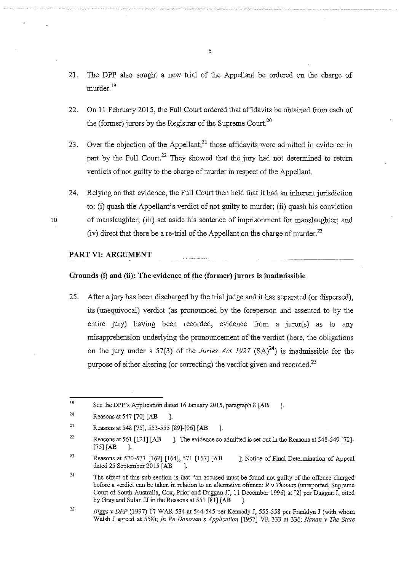- 21. The DPP also sought a new trial of the Appellant be ordered on the charge of murder.<sup>19</sup>
- 22. On 11 February 2015, the Full Court ordered that affidavits be obtained from each of the (former) jurors by the Registrar of the Supreme Court.<sup>20</sup>
- 23. Over the objection of the Appellant, $^{21}$  those affidavits were admitted in evidence in part by the Full Court.<sup>22</sup> They showed that the jury had not determined to return verdicts of not guilty to the charge of murder in respect of the Appellant.
- 24. Relying on that evidence, the Full Court then held that it had an inherent jurisdiction to: (i) quash the Appellant's verdict of not guilty to murder; (ii) quash his conviction 10 of manslaughter; (iii) set aside his sentence of imprisonment for manslaughter; and (iv) direct that there be a re-trial of the Appellant on the charge of murder.<sup>23</sup>

### **PART VI: ARGUMENT**

### **Grounds (i) and (ii): The evidence of the (former) jurors is inadmissible**

25. After a jury has been discharged by the trial judge and it has separated (or dispersed), its (unequivocal) verdict (as pronounced by the foreperson and assented to by the entire jury) having been recorded, evidence from a juror(s) as to any misapprehension underlying the pronouncement of the verdict (here, the obligations on the jury under s 57(3) of the *Juries Act 1927*  $(SA)^{24}$  is inadmissible for the purpose of either altering (or correcting) the verdict given and recorded.<sup>25</sup>

25 *Biggs* v *DPP* (1997) l7 WAR 534 at 544-545 per Kennedy J, 555-558 per Franklyn J (with whom Walsh J agreed at 558); *In Re Donovan's Application* [1957] VR 333 at 336; *Nanan* v *The State* 

l9 See the DPP's Application dated 16 January 2015, paragraph 8 [AB ].

<sup>20</sup>  Reasons at 547 [70] [AB ].

<sup>21</sup>  Reasons at 548 [75], 553-555 [89]-[96] [AB ].

<sup>22</sup>  Reasons at 561 [121] [AB ]. The evidence so admitted is set out in the Reasons at 548-549 [72]- $[75]$  [AB ].

<sup>23</sup>  Reasons at 570-571 [162]-[164], 571 [167] [AB ]; Notice of Final Determination of Appeal dated 25 September 2015 [AB ].

<sup>24</sup>  The effect of this sub-section is that "an accused must be found not guilty of the offence charged before a verdict can be taken in relation to an alternative offence:  $R \vee \overline{Thomas}$  (unreported, Supreme Court of South Australia, Cox, Prior and Duggan JJ, 11 December 1996) at [2] per Duggan J, cited by Gray and Sulan JJ in the Reasons at  $551 [81] [AB]$ .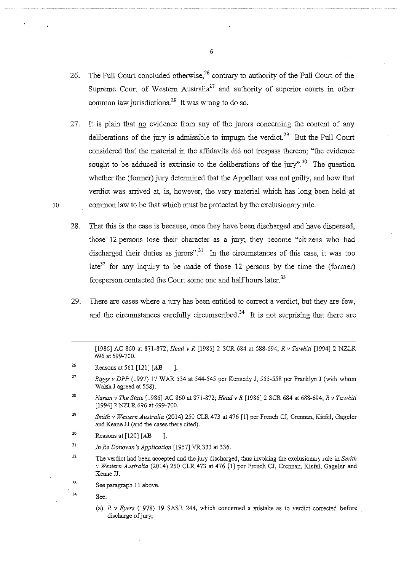- 26. The Full Court concluded otherwise,<sup>26</sup> contrary to authority of the Full Court of the Supreme Court of Western Australia<sup>27</sup> and authority of superior courts in other common law jurisdictions.<sup>28</sup> It was wrong to do so.
- 27. It is plain that no evidence from any of the jurors concerning the content of any deliberations of the jury is admissible to impugn the verdict.<sup>29</sup> But the Full Court considered that the material in the affidavits did not trespass thereon; "the evidence sought to be adduced is extrinsic to the deliberations of the jury".<sup>30</sup> The question whether the (former) jury determined that the Appellant was not guilty, and how that verdict was arrived at, is, however, the very material which has long been held at 10 common law to be that which must be protected by the exclusionary rule.
	- 28. That this is the case is because, once they have been discharged and have dispersed, those 12 persons lose their character as a jury; they become "citizens who had discharged their duties as jurors".<sup>31</sup> In the circumstances of this case, it was too late<sup>32</sup> for any inquiry to be made of those 12 persons by the time the (former) foreperson contacted the Court some one and half hours later.<sup>33</sup>
	- 29. There are cases where a jury has been entitled to correct a verdict, but they are few, and the circumstances carefully circumscribed.<sup>34</sup> It is not surprising that there are

- 28 *Nanan v The State* [1986] AC 860 at 871-872; *Head v R* [1986] 2 SCR 684 at 688-694; *R v Tc.whiti*  [1994] 2 NZLR 696 at 699-700.
- 29 *Smith v Western Australia* (2014) 250 CLR 473 at 476 [1] per French CJ, Crennan, Kiefe1, Gage1er and Keane JJ (and the cases there cited).
- 30 Reasons at  $[120]$   $[AB$  ].
- 31 *In Re Donovan's Application* [1957] VR 333 at 336.
- 32 **The verdict bad been accepted and the jury discharged, thus invoking the exclusionary rule in** *Smith v Western Australia* (2014) 250 CLR 473 at 476 [1] per French CJ, Crennan, Kiefe1, Gage1er and Keane JJ.
- 33 See paragraph 11 above.
	- See:

34

(a) *R v Eyers* (1978) 19 SASR 244, which concerned a mistake as to verdict corrected before discharge of jury;

<sup>[1986]</sup> AC 860 at 871-872; *Head v R* [1986] 2 SCR 684 at 688-694; *R v Tawhiti* [1994] 2 NZLR 696 at 699-700.

<sup>26</sup>  Reasons at 561 [121] [AB ].

<sup>27</sup>  *Biggs v DPP* (1997) 17 WAR 534 at 544-545 per Kennedy J, 555-558 per Franklyn *I* (with whom Walsh J agreed at 558).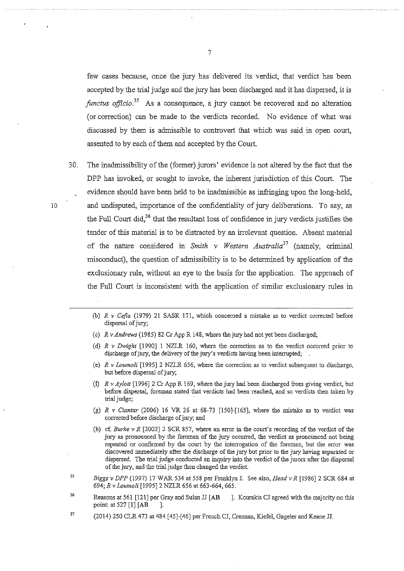few cases because, once the jury has delivered its verdict, that verdict has been accepted by the trial judge and the jury has been discharged and it has dispersed, it is *functus officio.*<sup>35</sup> As a consequence, a jury cannot be recovered and no alteration (or correction) can be made to the verdicts recorded. No evidence of what was discussed by them is admissible to controvert that which was said in open court, assented to by each of them and accepted by the Court.

- 30. The inadmissibility of the (former) jurors' evidence is not altered by the fact that the DPP has invoked, or sought to invoke, the inherent jurisdiction of this Court. The evidence should have been held to be inadmissible as infringing upon the long-held, 10 and undisputed, importance of the confidentiality of jury deliberations. To say, as the Full Court did,  $36$  that the resultant loss of confidence in jury verdicts justifies the tender of this material is to be distracted by an irrelevant question. Absent material of the nature considered in *Smith v Western Australia<sup>37</sup>*(namely, criminal misconduct), the question of admissibility is to be determined by application of the exclusionary rule, without an eye to the basis for the application. The approach of the Full Court is inconsistent with the application of similar exclusionary rules in
	- (b) *R v Cefia* (1979) 21 SASR 171, which concerned a mistake as to verdict corrected before dispersal of jury;
	- (c) *R v Andrews* (1985) 82 Cr App R 148, where the jury had not yet been discharged;
	- (d) *R v Dwight* [1990] I NZLR 160, where the correction as to the verdict occurred prior to discharge of jury, the delivery of the jury's verdicts having been interrupted;
	- (e) *R v Loumoli* [1995] 2 NZLR 656, where the correction as to verdict subsequent to discharge, but before dispersal of jury;
	- (f) *R v Aylott* [1996] 2 Cr App R 169, where the jury had been discharged from giving verdict, but **before dispersal, foreman stated that verdicts had been reached, and so verdicts then taken by**  trial judge;
	- (g) *R v Ciantar* (2006) 16 VR 26 at 68-73 [150]-[165], where the mistake as to verdict was corrected before discharge of jury; and
	- (h) cf. *Burke v R* [2002]2 SCR 857, where an error in the court's recording of the verdict of the **jury as pronounced by the foreman of the jury occurred, the verdict as pronounced not being repeated or confirmed by the court by the interrogation of the foreman, but the error was**  discovered immediately after the discharge of the jury but prior to the jury having separated or dispersed. The trial judge conducted an inquiry into the verdict of the jurors after the dispersal of the jury, and the trial judge then changed the verdict.
	- *35 Biggs v DPP* (1997) 17 WAR 534 at 558 per Franklyn J. See also, *Head v R* [1986] 2 SCR 684 at 694; *R v Loumoli* [1995]2 NZLR 656 at 663-664, 665.
	- 36 Reasons at 561 [121] per Gray and Sulan JJ [AB ]. Kourakis CJ agreed with the majority on this point: at 527 [1] [AB ].
	- 37 (2014) 250 CLR 473 at 484 [45]-[46] per French CJ, Crennan, Kiefel, Gageler and Keane JJ.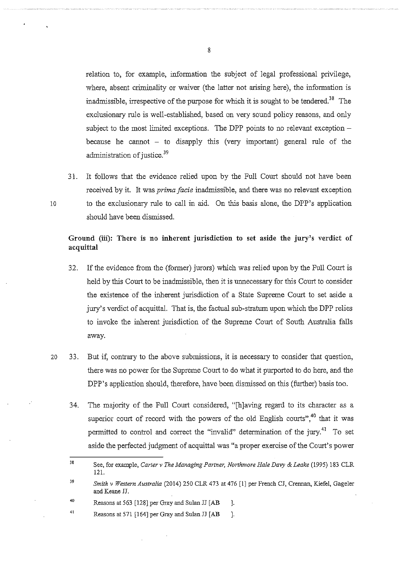relation to, for example, information the subject of legal professional privilege, where, absent criminality or waiver (the latter not arising here), the information is inadmissible, irrespective of the purpose for which it is sought to be tendered. 38 The exclusionary rule is well-established, based on very sound policy reasons, and only subject to the most limited exceptions. The DPP points to no relevant exception  $$ because he cannot  $-$  to disapply this (very important) general rule of the administration of justice.<sup>39</sup>

31. It follows that the evidence relied upon by the Full Court should not have been received by it. It was *prima facie* inadmissible, and there was no relevant exception 10 to the exclusionary rule to call in aid. On this basis alone, the DPP's application should have been dismissed.

# **Ground (iii): There is no inherent jurisdiction to set aside the jury's verdict of acquittal**

- 32. If the evidence from the (former) jurors) which was relied upon by the Full Court is held by this Court to be inadmissible, then it is unnecessary for this Court to consider the existence of the inherent jurisdiction of a State Supreme Court to set aside a jury's verdict of acquittal. That is, the factual sub-stratum upon which the DPP relies to invoke the inherent jurisdiction of the Supreme Court of South Australia falls away.
- 20 33. But if, contrary to the above submissions, it is necessary to consider that question, there was no power for the Supreme Court to do what it purported to do here, and the DPP's application should, therefore, have been dismissed on this (further) basis too.
	- 34. The majority of the Full Court considered, "[h]aving regard to its character as a superior court of record with the powers of the old English courts",<sup>40</sup> that it was permitted to control and correct the "invalid" determination of the jury.<sup>41</sup> To set aside the perfected judgment of acquittal was "a proper exercise of the Court's power

<sup>38</sup>  See, for example, *Carter v The Managing Partner, Northmore Hale Davy* & *Leake* (1995) 183 CLR 121.

<sup>39</sup>  *Smith v Western Australia* (2014) 250 CLR 473 at 476 [I] per French CJ, Crennan, Kiefel, Gageler and Keane JJ.

<sup>40</sup>  Reasons at 563 [128] per Gray and Sulan JJ [AB ].

<sup>41</sup>  Reasons at 571 [164] per Gray and Sulan JJ **[AB** ].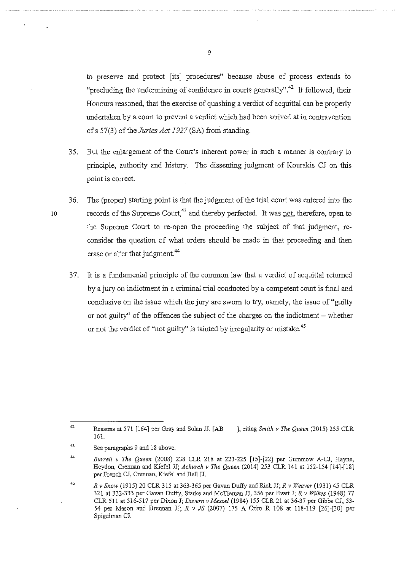to preserve and protect [its] procedures" because abuse of process extends to "precluding the undermining of confidence in courts generally".<sup>42</sup> It followed, their Honours reasoned, that the exercise of quashing a verdict of acquittal can be properly undertaken by a court to prevent a verdict which had been arrived at in contravention ofs 57(3) of the *Juries Act 1927* (SA) from standing.

- 35. But the enlargement of the Court's inherent power in such a manner is contrary to principle, authority and history. The dissenting judgment of Kourakis CJ on this point is correct.
- 36. The (proper) starting point is that the judgment of the trial court was entered into the 10 records of the Supreme Court,<sup>43</sup> and thereby perfected. It was not, therefore, open to the Supreme Court to re-open the proceeding the subject of that judgment, reconsider the question of what orders should be made in that proceeding and then erase or alter that judgment.<sup>44</sup>
	- 37. It is a fundamental principle of the common law that a verdict of acquittal returned by a jury on indictment in a criminal trial conducted by a competent court is final and conclusive on the issue which the jury are sworn to try, namely, the issue of "guilty or not guilty" of the offences the subject of the charges on the indictment- whether or not the verdict of "not guilty" is tainted by irregularity or mistake.<sup>45</sup>

<sup>42</sup>  Reasons at 571 [164] per Gray and Su1an JJ. [AB 161. ], citing *Smith v The Queen* (2015) 255 CLR

<sup>43</sup>  See paragraphs 9 and 18 above.

<sup>44</sup>  *Burrell v The Queen* (2008) 238 CLR 218 at 223-225 [15]-[22] per Gummow A-CJ, Hayne, Heydon, Crennan and Kiefe1 JJ; *Achurch v The Queen* (2014) 253 CLR 141 at 152-154 [14]-[18] per French CJ, Crennan, Kiefe1 and Bell JJ.

<sup>45</sup>  *R v Snow* (1915) 20 CLR 315 at 363-365 per Gavan Duffy and Rich JJ; *R v Weaver* (1931) 45 CLR 321 at 332-333 per Gavan Duffy, Starke and McTiernan JJ, 356 per Evatt J; *R v Wilkes* (1948) 77 CLR 511 at 516-517 per Dixon J; *Davern v Messel* (1984) 155 CLR 21 at 36-37 per Gibbs CJ, 53- 54 per Mason and Brennan JJ; *R* v *JS* (2007) 175 A Crirn R 108 at 118-119 [26]-[30] per Spigelman CJ.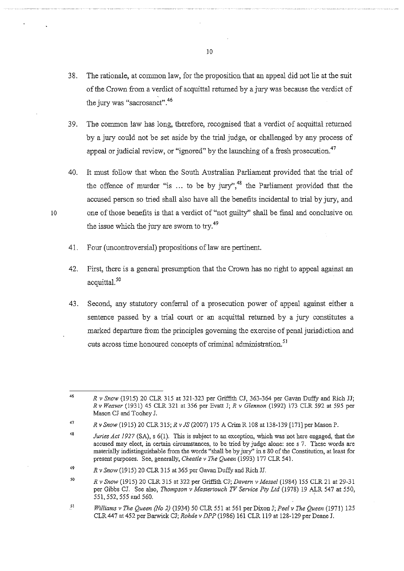- 38. The rationale, at common law, for the proposition that an appeal did not lie at the suit of the Crown from a verdict of acquittal returned by a jury was because the verdict of the jury was "sacrosanct" 46
- 39. The common law has long, therefore, recognised that a verdict of acquittal returned by a jury could not be set aside by the trial judge, or challenged by any process of appeal or judicial review, or "ignored" by the launching of a fresh prosecution.<sup>47</sup>
- 40. It must follow that when the South Australian Parliament provided that the trial of the offence of murder "is  $\ldots$  to be by jury",<sup>48</sup> the Parliament provided that the accused person so tried shall also have all the benefits incidental to trial by jury, and 10 one of those benefits is that a verdict of "not guilty" shall be final and conclusive on the issue which the jury are sworn to try.<sup>49</sup>
	- 41. Four (uncontroversial) propositions of law are pertinent.
	- 42. First, there is a general presumption that the Crown has no right to appeal against an acquittal.<sup>50</sup>
	- 43. Second, any statutory conferral of a prosecution power of appeal against either a sentence passed by a trial court or an acquittal returned by a jury constitutes a marked departure from the principles governing the exercise of penal jurisdiction and cuts across time honoured concepts of criminal administration.<sup>51</sup>

51 *Williams v The Queen {No 2)* (1934) 50 CLR 551 at 561 per Dixon J; *Peel v The Queen* (1971) 125 CLR 447 at 452 per Barwick CJ; *Rohde v DPP* (1986) 161 CLR 119 at 128-129 per Deane J.

<sup>46</sup>  *R v Snow* (1915) 20 CLR 315 at 321-323 per Griffith CJ, 363-364 per Gavan Duffy and Rich JJ; *R v Weaver* (1931) 45 CLR 321 at 356 per Evatt J; *R v Glennon* (1992) 173 CLR 592 at 595 per Mason CJ and Toohey J.

<sup>47</sup>  *R v Snow* (1915) 20 CLR 315; *R v JS* (2007) 175 A Crim R 108 at 138-139 [171] per Mason P.

<sup>48</sup>  *Juries Act 1927* (SA), s 6(1). This is subject to an exception, which was not here engaged, that the **accused may elect, in certain circumstances, to be tried by judge alone: see s 7. These words are**  materially indistinguishable from the words "shall be by jury'' ins 80 of the Constitution, at least for present purposes. See, generally, *Cheatle v The Queen* (1993) 177 CLR 541.

<sup>49</sup>  *R v Snow* (1915) 20 CLR 315 at 365 per Gavan Duffy and Rich JJ.

<sup>50</sup>  *R v Snow* (1915) 20 CLR 315 at 322 per Griffith CJ; *Davern v Messel* (1984) 155 CLR 21 at 29-31 per Gibbs CJ. See also, *Thompson v Mastertouch TV Service Pty Ltd* (1978) 19 ALR 547 at 550, 551,552, 555 and 560.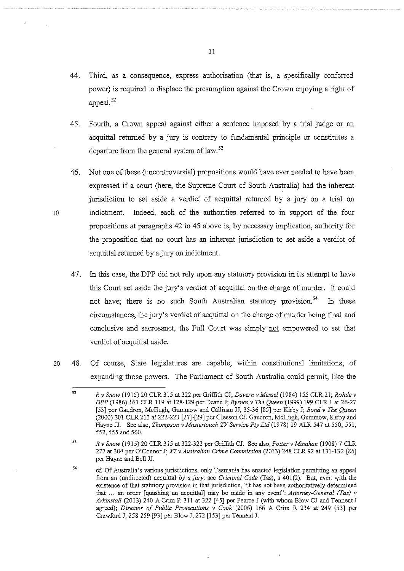- 44. Third, as a consequence, express authorisation (that is, a specifically conferred power) is required to displace the presumption against the Crown enjoying a right of appeal.<sup>52</sup>
- 45. Fourth, a Crown appeal against either a sentence imposed by a trial judge or an acquittal returned by a jury is contrary to fundamental principle or constitutes a departure from the general system of law.<sup>53</sup>
- 46. Not one of these (uncontroversial) propositions would have ever needed to have been expressed if a court (here, the Supreme Court of South Australia) had the inherent jurisdiction to set aside a verdict of acquittal returned by a jury on a trial on 10 indictment. Indeed, each of the authorities referred to in support of the four propositions at paragraphs 42 to 45 above is, by necessary implication, authority for the proposition that no court has an inherent jurisdiction to set aside a verdict of acquittal returned by a jury on indictment.
	- 47. In this case, the DPP did not rely upon any statutory provision in its attempt to have this Court set aside the jury's verdict of acquittal on the charge of murder. It could not have; there is no such South Australian statutory provision.<sup>54</sup> In these circumstances, the jury's verdict of acquittal on the charge of murder being final and conclusive and sacrosanct, the Full Court was simply not empowered to set that verdict of acquittal aside.
- 20 48. Of course, State legislatures are capable, within constitutional limitations, of expanding those powers. The Parliament of South Australia could permit, like the

53 *R v Snow* (1915) 20 CLR 315 at 322-323 per Griffith CJ. See also, *Potter v Minahan* (1908) 7 CLR 277 at 304 per O'Connor J; *X7 v Australian Crime Commission* (2013) 248 CLR 92 at 131-132 [86] per Hayne and Bell JJ.

<sup>52</sup>  *R v Snow* (1915) 20 CLR 315 at 322 per Griffith CJ; *Davern v Messel* (1984) 155 CLR 21; *Rohde v DPP* (1986) 161 CLR 119 at 128-129 per Deane J; *Byrnes v The Queen* (1999) 199 CLR 1 at 26-27 [53] per Gaudron, McHugh, Gummow and Callinan JJ, 35-36 [85] per Kirby J; *Bond v The Queen*  (2000) 201 CLR 213 at 222-223 [27]-[29] per Gleeson CJ, Gaudron, McHugh, Gummow, Kirby and Hayne JJ. See also, *Thompson v Mastertouch TV Service-Ply Ltd* (1978) 19 ALR 547 at 550, 551, 552, 555 and 560.

<sup>54</sup>  cf. Of Australia's various jurisdictions, only Tasmania has enacted legislation permitting an appeal from an (undirected) acquittal by a jury: see *Criminal Code* (Tas), s 401(2). But, even with the **existence of that statutory provision in that jurisdiction, "it has not been authoritatively determined**  that ... an order [quashing an acquittal] may be made in any event": *Attorney-General (Tas) v Arkinstall* (2013) 240 A Crim R 311 at 322 [45] per Pearce J (with whom Blow CJ and TennentJ agreed); *Director of Public Prosecutions v Cook* (2006) 166 A Crim R 234 at 249 [53] per Crawford J, 258-259 [93] per Blow J, 272 [153] per Tennent J.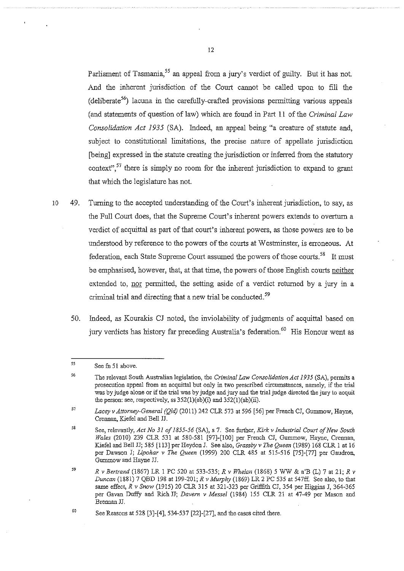Parliament of Tasmania,<sup>55</sup> an appeal from a jury's verdict of guilty. But it has not. And the inherent jurisdiction of the Court cannot be called upon to fill the  $(deliberate<sup>56</sup>)$  lacuna in the carefully-crafted provisions permitting various appeals (and statements of question oflaw) which are found in Part 11 of the *Criminal Law Consolidation Act 1935* (SA). Indeed, an appeal being "a creature of statute and, subject to constitutional limitations, the precise nature of appellate jurisdiction [being] expressed in the statute creating the jurisdiction or inferred from the statutory context",  $57$  there is simply no room for the inherent jurisdiction to expand to grant that which the legislature has not.

- 10 49. Turning to the accepted understanding of the Court's inherent jurisdiction, to say, as the Full Court does, that the Supreme Court's inherent powers extends to overturn a verdict of acquittal as part of that court's inherent powers, as those powers are to be understood by reference to the powers of the courts at Westminster, is erroneous. At federation, each State Supreme Court assumed the powers of those courts.<sup>58</sup> It must be emphasised, however, that, at that time, the powers of those English courts neither extended to, nor permitted, the setting aside of a verdict returned by a jury in a criminal trial and directing that a new trial be conducted.<sup>59</sup>
	- 50. Indeed, as Kourakis CJ noted, the inviolability of judgments of acquittal based on jury verdicts has history far preceding Australia's federation.<sup>60</sup> His Honour went as

*<sup>55</sup>*  See fn 51 above.

<sup>56</sup>  The relevant South Australian legislation, the *Criminal Law Consolidation Act 1935* (SA), permits a prosecution appeal from an acquittal but only in two prescribed circumstances, namely, if the trial was by judge alone or if the trial was by judge and jury and the trial judge directed the jury to acquit the person: see, respectively, ss  $352(1)(ab)(i)$  and  $352(1)(ab)(ii)$ .

<sup>57</sup>  Lacey v Attorney-General (Old) (2011) 242 CLR 573 at 596 [56] per French CJ, Gummow, Hayne, Crennan, Kiefel and Bell JJ.

<sup>58</sup>  See, relevantly, *Act No 31 of 1855-56* (SA), s 7. See further, *Kirk v Industrial Court of New South Wales* (2010) 239 CLR 531 at 580-581 [97]-[100] per French CJ, Gummow, Hayne, Crennan, Kiefel and Bell JJ; 585 [113] per Heydon J. See also, *Grassby v* The *Queen* (1989) 168 CLR 1 at 16 per Dawson J; *Lipohar v* The *Queen* (1999) 200 CLR 485 at 515-516 [75]-[77] per Gaudron, Gummow and Hayne JJ.

<sup>59</sup> *R v Bertrand* (1867) LR 1 PC 520 at 533-535; *R v Whelan* (1868) 5 WW & a'B (L) 7 at 21; *R v Duncan* (1881) 7 QBD 198 at 199-201; *R v Murphy* (1869) LR 2 PC 535 at 547ff. See also, to that same effect, *R v Snow* (1915) 20 CLR 315 at 321-323 per Griffith CJ, 354 per Higgins J, 364-365 per Gavan Duffy and Rich JJ; *Davern v Messel* (1984) !55 CLR 21 at 47-49 per Mason and Brennan JJ.

<sup>60</sup>  See Reasons at 528 [3]-[4], 534-537 [22]-[27], and the cases cited there.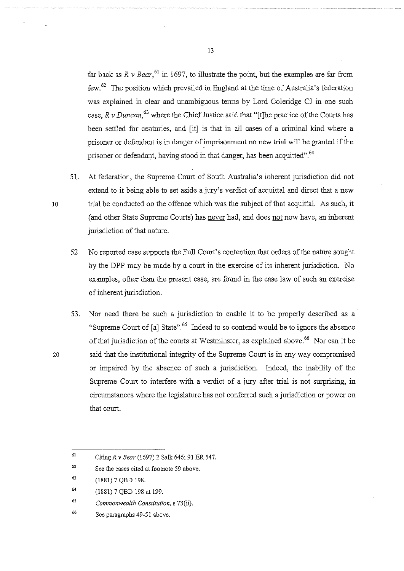far back as  $R \nu \cdot \text{Bear}$ <sup>61</sup> in 1697, to illustrate the point, but the examples are far from few. 62 The position which prevailed in England at the time of Australia's federation was explained in clear and unambiguous terms by Lord Coleridge CJ in one such case,  $R \nu$  *Duncan*,<sup>63</sup> where the Chief Justice said that "[t]he practice of the Courts has been settled for centuries, and [it] is that in all cases of a criminal kind where a prisoner or defendant is in danger of imprisonment no new trial will be granted if the prisoner or defendant, having stood in that danger, has been acquitted".<sup>64</sup>

- 51. At federation, the Supreme Court of South Australia's inherent jurisdiction did not extend to it being able to set aside a jury's verdict of acquittal and direct that a new 10 trial be conducted on the offence which was the subject of that acquittal. As such, it (and other State Supreme Courts) has never had, and does not now have, an inherent jurisdiction of that nature.
	- 52. No reported case supports the Full Court's contention that orders of the nature sought by the DPP may be made by a court in the exercise of its inherent jurisdiction. No examples, other than the present case, are found in the case law of such an exercise of inherent jurisdiction.
- 53. Nor need there be such a jurisdiction to enable it to be properly described as a "Supreme Court of [a] State".  $65$  Indeed to so contend would be to ignore the absence of that jurisdiction of the courts at Westminster, as explained above.<sup>66</sup> Nor can it be 20 said that the institutional integrity of the Supreme Court is in any way compromised or impaired by the absence of such a jurisdiction. Indeed, the inability of the Supreme Court to interfere with a verdict of a jury after trial is not surprising, in circumstances where the legislature has not conferred such a jurisdiction or power on that court.

- *6S Commonwealth Constitution,* s 73(ii).
- 66 See paragraphs 49-51 above.

<sup>61</sup>  Citing *R v Bear* (1697) 2 Salk 646; 91 ER 547.

<sup>62</sup>  **See the cases cited at footnote 59 above.** 

<sup>63</sup>  (1881) 7 QBD 198.

<sup>64</sup>  (1881) 7 QBD 198 at 199.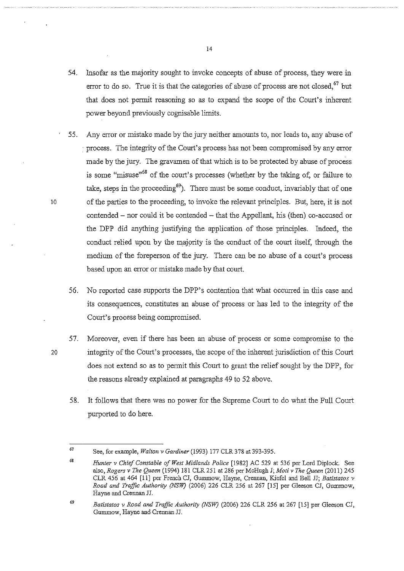- 54. Insofar as the majority sought to invoke concepts of abuse of process, they were in error to do so. True it is that the categories of abuse of process are not closed,  $67$  but that does not permit reasoning so as to expand the scope of the Court's inherent power beyond previously cognisable limits.
- 55. Any error or mistake made by the jury neither amounts to, nor leads to, any abuse of · process. The integrity of the Court's process has not been compromised by any error made by the jury. The gravamen of that which is to be protected by abuse of process is some "misuse"68 of the court's processes (whether by the taking of, or failure to take, steps in the proceeding<sup>69</sup>). There must be some conduct, invariably that of one 10 of the parties to the proceeding, to invoke the relevant principles. But, here, it is not contended- nor could it be contended- that the Appellant, his (then) co-accused or the DPP did anything justifying the application of those principles. Indeed, the conduct relied upon by the majority is the conduct of the court itself, through the medium of the foreperson of the jury. There can be no abuse of a court's process based upon an error or mistake made by that court.
	- 56. No reported case supports the DPP's contention that what occurred in this case and its consequences, constitutes an abuse of process or has led to the integrity of the Court's process being compromised.
- 57. Moreover, even if there has been an abuse of process or some compromise to the 20 integrity of the Court's processes, the scope of the inherent jurisdiction of this Court does not extend so as to permit this Court to grant the relief sought by the DPP, for the reasons already explained at paragraphs 49 to 52 above.
	- 58. It follows that there was no power for the Supreme Court to do what the Full Court purported to do here.

<sup>67</sup>  See, for example, *Walton v Gardiner* (1993) 177 CLR 378 at 393-395.

<sup>68</sup> *Hunter v Chief Constable of West Midlands Police* [1982] AC 529 at 536 per Lord Diplock. See also, *Rogers v The Queen* (1994) 181 CLR 251 at 286 per McHugh J; *Moti v The Queen* (2011) 245 CLR 456 at 464 [11] per French CJ, Gummow, Hayne, Crennan, Kiefel and Bell JJ; *Batistatos v Road and Traffic Authority (NSW)* (2006) 226 CLR 256 at 267 [15] per Gleeson CJ, Gummow, Hayne and Crennan JJ.

<sup>69</sup>  *Batistatos v Road and Traffic Authority (NSW)* (2006) 226 CLR 256 at 267 [15] per Gleeson CJ, Gumrnow, Hayne and Crennan JJ.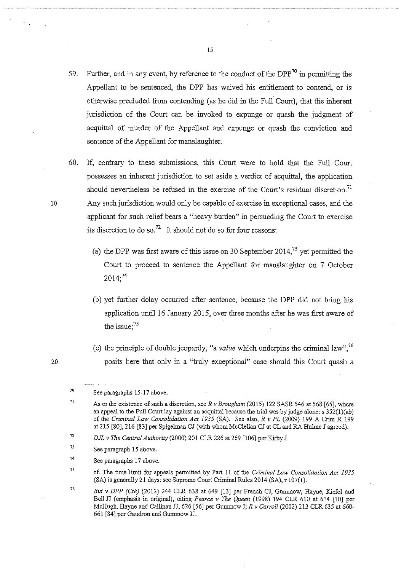- 59. Further, and in any event, by reference to the conduct of the DPP<sup>70</sup> in permitting the Appellant to be sentenced, tbe DPP has waived his entitlement to contend, or is otberwise precluded from contending (as he did in tbe Full Court), tbat the inherent jurisdiction of tbe Court can be invoked to expunge or quash tbe judgment of acquittal of murder of the Appellant and expunge or quash the conviction and sentence of the Appellant for manslaughter.
- 60. If, contrary to tbese submissions, this Court were to hold tbat tbe Full Court possesses an inherent jurisdiction to set aside a verdict of acquittal, tbe application should nevertheless be refused in the exercise of the Court's residual discretion.<sup>71</sup> 10 Any such jurisdiction would only be capable of exercise in exceptional cases, and tbe applicant for such relief bears a "heavy burden" in persuading the Court to exercise its discretion to do so.<sup>72</sup> It should not do so for four reasons:
	- (a) the DPP was first aware of this issue on 30 September 2014,<sup>73</sup> yet permitted the Court to proceed to sentence tbe Appellant for manslaughter on 7 October  $2014;^{74}$
	- (b) yet further delay occurred after sentence, because tbe DPP did not bring his application until 16 January 2015, over three months after he was first aware of the issue;<sup>75</sup>
	- (c) the principle of double jeopardy, "a *value* which underpins the criminal law", <sup>76</sup> posits here tbat only in a "truly exceptional" case should this Court quash a

<sup>70</sup>  See paragraphs 15-17 above.

<sup>7</sup>J As to the existence of snch a discretion, seeR *v Brougham* (2015) 122 SASR 546 at 568 [65], where an appeal to the Full Court lay against an acquittal because the trial was by judge alone: s 352(1)(ab) of the *Criminal Law Consolidation Act 1935* (SA). See also, *R* v *PL* (2009) 199 A Crim R 199 at 215 [80], 216 [83] per Spigelman CJ (with whom McClellan CJ at CL and RA Hulme J agreed).

<sup>72</sup>  *DJL* v *The Central Authority* (2000) 201 CLR 226 at 269 [106] per Kirby J.

<sup>73</sup>  See paragraph 15 above.

<sup>74</sup>  See paragraphs 17 above.

<sup>75</sup>  cf. The time limit for appeals permitted by Part 11 of the *Criminal Law Consolidation Act 1935*  $(SA)$  is generally 21 days: see Supreme Court Criminal Rules 2014  $(SA)$ , r 107(1).

<sup>76</sup>  *Bui v DPP (Cth)* (2012) 244 CLR 638 at 649 [13] per French CJ, Gmmnow, Hayne, Kiefe1 and Bell JJ (emphasis in original), citing *Pearce v The Queen* (1998) 194 CLR 610 at 614 [10] per McHugh, Hayne and Callinan JJ, 626 [56] per Gummow J; *R v Carroll* (2002) 213 CLR 635 at 660- 661 [84] per Gaudron and Gmmnow JJ.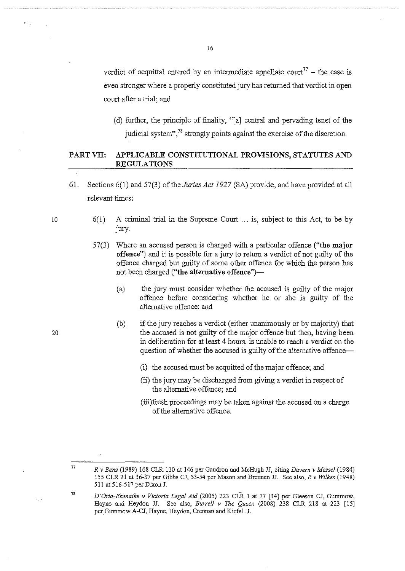verdict of acquittal entered by an intermediate appellate court<sup>77</sup> – the case is even stronger where a properly constituted jury has returned that verdict in open court after a trial; and

(d) further, tbe principle of finality, "[a] central and pervading tenet of tbe judicial system",  $^{78}$  strongly points against the exercise of the discretion.

# PART VII: APPLICABLE CONSTITUTIONAL PROVISIONS, STATUTES AND **REGULATIONS**

- 61. Sections 6(1) and 57(3) oftbe *Juries Act 1927* (SA) provide, and have provided at all relevant times:
	- $6(1)$  A criminal trial in the Supreme Court  $\ldots$  is, subject to this Act, to be by jury.
	- 57(3) Where an accused person is charged witb a particular offence **("the major offence")** and it is possible for a jury to return a verdict of not guilty of tbe offence charged but guilty of some otber offence for which tbe person has not been charged ("the alternative offence")-
		- (a) tbe jury must consider whetber tbe accused is guilty of tbe major offence before considering whetber he or she is guilty of tbe alternative offence; and
		- (b) if tbe jury reaches a verdict (either unanimously or by majority) that the accused is not guilty of the major offence but then, having been in deliberation for at least 4 hours, is unable to reach a verdict on tbe question of whether the accused is guilty of the alternative offence-
			- (i) tbe accused must be acquitted of the major offence; and
			- (ii) tbe jury may be discharged from giving a verdict in respect of tbe alternative offence; and
			- (iii)fresh proceedings may be taken against the accused on a charge of tbe alternative offence.

10

20

77

*R v Benz* (1989) 168 CLR 110 at 146 per Gaudron and McHugh JJ, citing *Davern v Messel* (1984) 155 CLR 21 at 36-37 per Gibbs CJ, 53-54 per Mason and Brennan JJ. See also, *R v Wilkes* (1948) 511 at 516-517 per Dixon J.

*D 'Orta-Ekenaike v Victoria Legal Aid* (2005) 223 CLR 1 at 17 [34] per Gleeson CJ, Gunnnow, Hayne and Heydon JJ. See also, *Burrell v* The *Queen* (2008) 238 CLR 218 at 223 [15] per Gummow A-CJ, Hayne, Heydon, Crennan and Kiefel JJ.